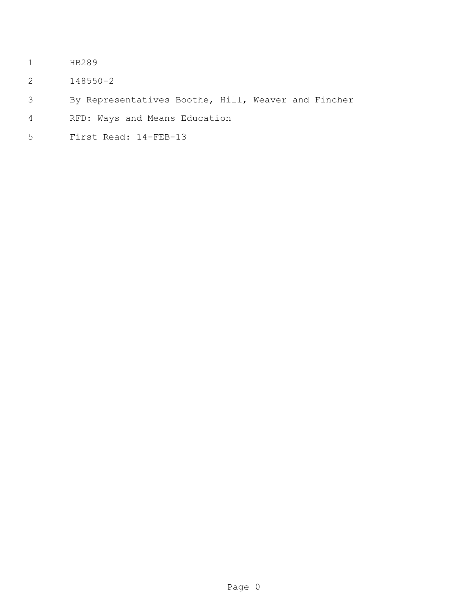- HB289
- 148550-2
- By Representatives Boothe, Hill, Weaver and Fincher
- RFD: Ways and Means Education
- First Read: 14-FEB-13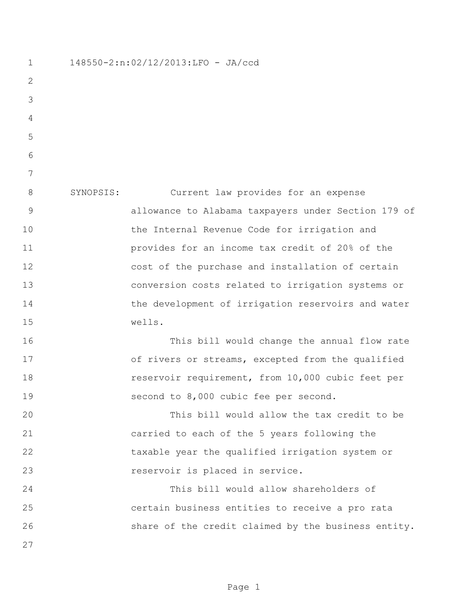148550-2:n:02/12/2013:LFO - JA/ccd SYNOPSIS: Current law provides for an expense allowance to Alabama taxpayers under Section 179 of the Internal Revenue Code for irrigation and provides for an income tax credit of 20% of the cost of the purchase and installation of certain conversion costs related to irrigation systems or 14 the development of irrigation reservoirs and water wells. This bill would change the annual flow rate 17 of rivers or streams, excepted from the qualified reservoir requirement, from 10,000 cubic feet per second to 8,000 cubic fee per second. This bill would allow the tax credit to be carried to each of the 5 years following the taxable year the qualified irrigation system or reservoir is placed in service. This bill would allow shareholders of certain business entities to receive a pro rata share of the credit claimed by the business entity.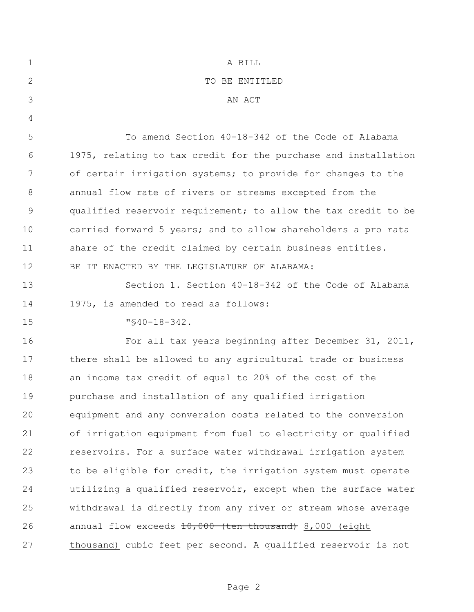| $\mathbf 1$  | A BILL                                                         |
|--------------|----------------------------------------------------------------|
| $\mathbf{2}$ | TO BE ENTITLED                                                 |
| 3            | AN ACT                                                         |
| 4            |                                                                |
| 5            | To amend Section 40-18-342 of the Code of Alabama              |
| 6            | 1975, relating to tax credit for the purchase and installation |
| 7            | of certain irrigation systems; to provide for changes to the   |
| $8\,$        | annual flow rate of rivers or streams excepted from the        |
| $\mathsf 9$  | qualified reservoir requirement; to allow the tax credit to be |
| 10           | carried forward 5 years; and to allow shareholders a pro rata  |
| 11           | share of the credit claimed by certain business entities.      |
| 12           | BE IT ENACTED BY THE LEGISLATURE OF ALABAMA:                   |
| 13           | Section 1. Section 40-18-342 of the Code of Alabama            |
| 14           | 1975, is amended to read as follows:                           |
| 15           | $"$ \$40-18-342.                                               |
| 16           | For all tax years beginning after December 31, 2011,           |
| 17           | there shall be allowed to any agricultural trade or business   |
| 18           | an income tax credit of equal to 20% of the cost of the        |
| 19           | purchase and installation of any qualified irrigation          |
| 20           | equipment and any conversion costs related to the conversion   |
| 21           | of irrigation equipment from fuel to electricity or qualified  |
| 22           | reservoirs. For a surface water withdrawal irrigation system   |
| 23           | to be eligible for credit, the irrigation system must operate  |
| 24           | utilizing a qualified reservoir, except when the surface water |
| 25           | withdrawal is directly from any river or stream whose average  |
| 26           | annual flow exceeds 10,000 (ten thousand) 8,000 (eight         |
| 27           | thousand) cubic feet per second. A qualified reservoir is not  |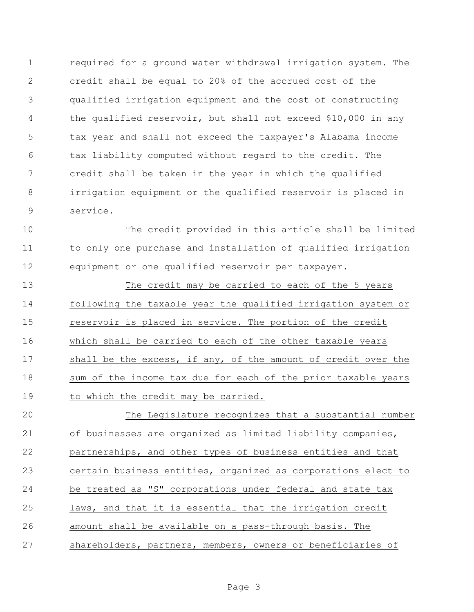required for a ground water withdrawal irrigation system. The credit shall be equal to 20% of the accrued cost of the qualified irrigation equipment and the cost of constructing the qualified reservoir, but shall not exceed \$10,000 in any tax year and shall not exceed the taxpayer's Alabama income tax liability computed without regard to the credit. The credit shall be taken in the year in which the qualified irrigation equipment or the qualified reservoir is placed in service.

 The credit provided in this article shall be limited to only one purchase and installation of qualified irrigation equipment or one qualified reservoir per taxpayer.

 The credit may be carried to each of the 5 years following the taxable year the qualified irrigation system or reservoir is placed in service. The portion of the credit which shall be carried to each of the other taxable years shall be the excess, if any, of the amount of credit over the sum of the income tax due for each of the prior taxable years 19 to which the credit may be carried.

 The Legislature recognizes that a substantial number of businesses are organized as limited liability companies, partnerships, and other types of business entities and that certain business entities, organized as corporations elect to be treated as "S" corporations under federal and state tax laws, and that it is essential that the irrigation credit amount shall be available on a pass-through basis. The shareholders, partners, members, owners or beneficiaries of